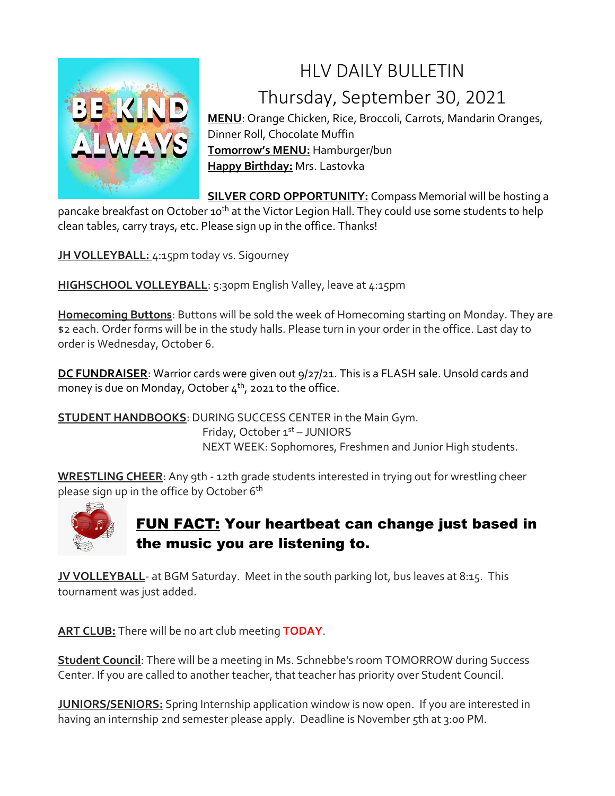

## HLV DAILY BULLETIN Thursday, September 30, 2021

**MENU**: Orange Chicken, Rice, Broccoli, Carrots, Mandarin Oranges, Dinner Roll, Chocolate Muffin **Tomorrow's MENU:** Hamburger/bun **Happy Birthday:** Mrs. Lastovka

**SILVER CORD OPPORTUNITY:** Compass Memorial will be hosting a pancake breakfast on October 10<sup>th</sup> at the Victor Legion Hall. They could use some students to help clean tables, carry trays, etc. Please sign up in the office. Thanks!

**JH VOLLEYBALL:** 4:15pm today vs. Sigourney

**HIGHSCHOOL VOLLEYBALL:** 5:30pm English Valley, leave at 4:15pm

**Homecoming Buttons**: Buttons will be sold the week of Homecoming starting on Monday. They are \$2 each. Order forms will be in the study halls. Please turn in your order in the office. Last day to order is Wednesday, October 6.

**DC FUNDRAISER**: Warrior cards were given out 9/27/21. This is a FLASH sale. Unsold cards and money is due on Monday, October  $4^{th}$ , 2021 to the office.

**STUDENT HANDBOOKS**: DURING SUCCESS CENTER in the Main Gym. Friday, October 1st – JUNIORS NEXT WEEK: Sophomores, Freshmen and Junior High students.

**WRESTLING CHEER**: Any 9th - 12th grade students interested in trying out for wrestling cheer please sign up in the office by October 6<sup>th</sup>



## FUN FACT: Your heartbeat can change just based in the music you are listening to.

**JV VOLLEYBALL**- at BGM Saturday. Meet in the south parking lot, bus leaves at 8:15. This tournament was just added.

**ART CLUB:** There will be no art club meeting **TODAY**.

**Student Council**: There will be a meeting in Ms. Schnebbe's room TOMORROW during Success Center. If you are called to another teacher, that teacher has priority over Student Council.

**JUNIORS/SENIORS:** Spring Internship application window is now open. If you are interested in having an internship 2nd semester please apply. Deadline is November 5th at 3:00 PM.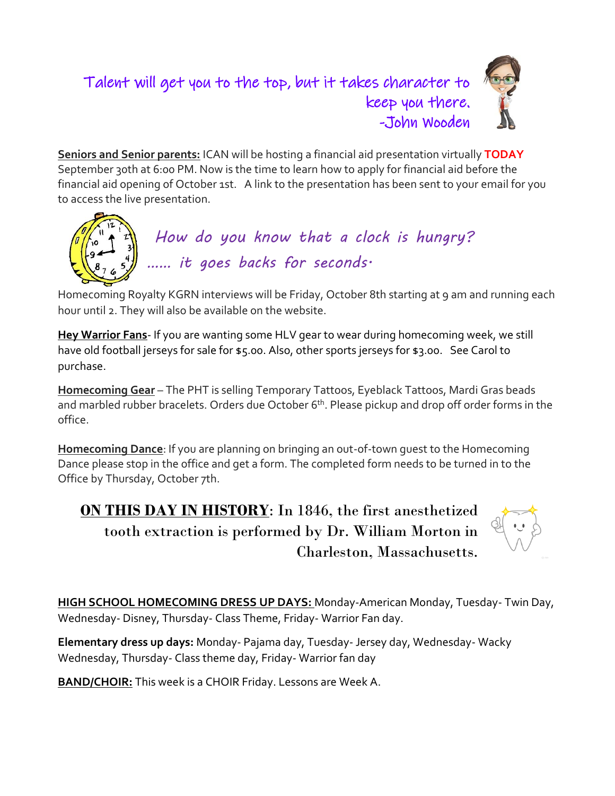## Talent will get you to the top, but it takes character to keep you there. -John Wooden



**Seniors and Senior parents:** ICAN will be hosting a financial aid presentation virtually **TODAY** September 30th at 6:00 PM. Now is the time to learn how to apply for financial aid before the financial aid opening of October 1st. A link to the presentation has been sent to your email for you to access the live presentation.



Homecoming Royalty KGRN interviews will be Friday, October 8th starting at 9 am and running each hour until 2. They will also be available on the website.

**Hey Warrior Fans**- If you are wanting some HLV gear to wear during homecoming week, we still have old football jerseys for sale for \$5.00. Also, other sports jerseys for \$3.00. See Carol to purchase.

**Homecoming Gear** – The PHT is selling Temporary Tattoos, Eyeblack Tattoos, Mardi Gras beads and marbled rubber bracelets. Orders due October 6<sup>th</sup>. Please pickup and drop off order forms in the office.

**Homecoming Dance**: If you are planning on bringing an out-of-town guest to the Homecoming Dance please stop in the office and get a form. The completed form needs to be turned in to the Office by Thursday, October 7th.

**ON THIS DAY IN HISTORY**: In 1846, the first anesthetized tooth extraction is performed by Dr. William Morton in Charleston, Massachusetts.



**HIGH SCHOOL HOMECOMING DRESS UP DAYS:** Monday-American Monday, Tuesday- Twin Day, Wednesday- Disney, Thursday- Class Theme, Friday- Warrior Fan day.

**Elementary dress up days:** Monday- Pajama day, Tuesday- Jersey day, Wednesday- Wacky Wednesday, Thursday- Class theme day, Friday- Warrior fan day

**BAND/CHOIR:** This week is a CHOIR Friday. Lessons are Week A.